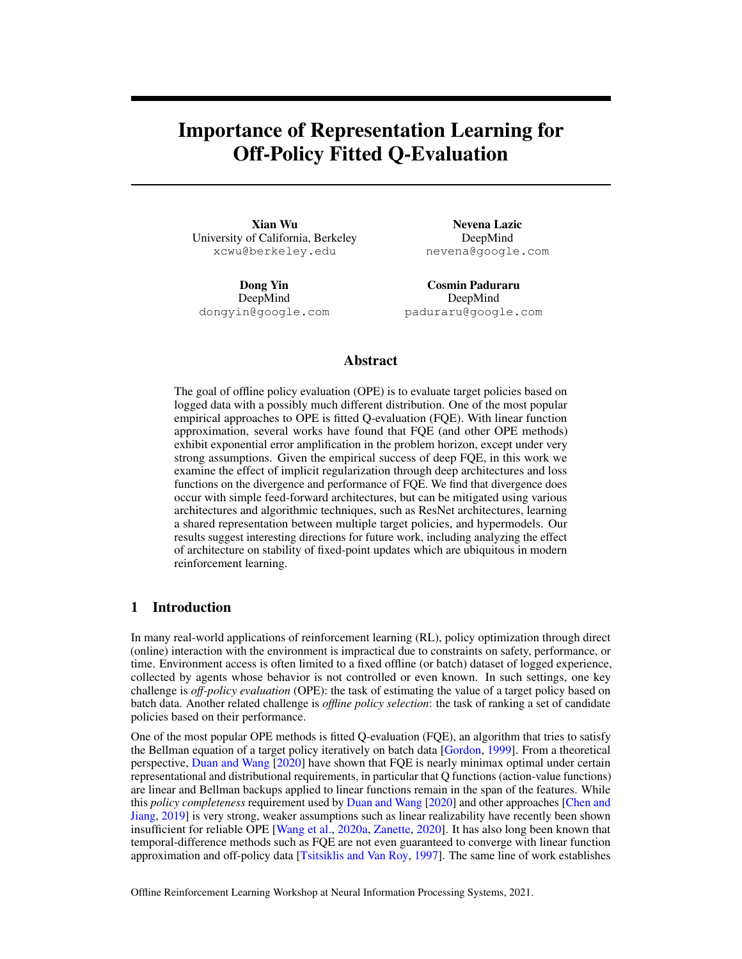# <span id="page-0-0"></span>Importance of Representation Learning for Off-Policy Fitted Q-Evaluation

Xian Wu University of California, Berkeley xcwu@berkeley.edu

Dong Yin DeepMind dongyin@google.com

Nevena Lazic DeepMind nevena@google.com

Cosmin Paduraru DeepMind paduraru@google.com

### Abstract

The goal of offline policy evaluation (OPE) is to evaluate target policies based on logged data with a possibly much different distribution. One of the most popular empirical approaches to OPE is fitted Q-evaluation (FQE). With linear function approximation, several works have found that FQE (and other OPE methods) exhibit exponential error amplification in the problem horizon, except under very strong assumptions. Given the empirical success of deep FQE, in this work we examine the effect of implicit regularization through deep architectures and loss functions on the divergence and performance of FQE. We find that divergence does occur with simple feed-forward architectures, but can be mitigated using various architectures and algorithmic techniques, such as ResNet architectures, learning a shared representation between multiple target policies, and hypermodels. Our results suggest interesting directions for future work, including analyzing the effect of architecture on stability of fixed-point updates which are ubiquitous in modern reinforcement learning.

## 1 Introduction

In many real-world applications of reinforcement learning (RL), policy optimization through direct (online) interaction with the environment is impractical due to constraints on safety, performance, or time. Environment access is often limited to a fixed offline (or batch) dataset of logged experience, collected by agents whose behavior is not controlled or even known. In such settings, one key challenge is *off-policy evaluation* (OPE): the task of estimating the value of a target policy based on batch data. Another related challenge is *offline policy selection*: the task of ranking a set of candidate policies based on their performance.

One of the most popular OPE methods is fitted Q-evaluation (FQE), an algorithm that tries to satisfy the Bellman equation of a target policy iteratively on batch data [\[Gordon,](#page-8-0) [1999\]](#page-8-0). From a theoretical perspective, [Duan and Wang](#page-7-0) [\[2020\]](#page-7-0) have shown that FQE is nearly minimax optimal under certain representational and distributional requirements, in particular that Q functions (action-value functions) are linear and Bellman backups applied to linear functions remain in the span of the features. While this *policy completeness* requirement used by [Duan and Wang](#page-7-0) [\[2020\]](#page-7-0) and other approaches [\[Chen and](#page-6-0) [Jiang,](#page-6-0) [2019\]](#page-6-0) is very strong, weaker assumptions such as linear realizability have recently been shown insufficient for reliable OPE [\[Wang et al.,](#page-9-0) [2020a,](#page-9-0) [Zanette,](#page-9-1) [2020\]](#page-9-1). It has also long been known that temporal-difference methods such as FQE are not even guaranteed to converge with linear function approximation and off-policy data [\[Tsitsiklis and Van Roy,](#page-8-1) [1997\]](#page-8-1). The same line of work establishes

Offline Reinforcement Learning Workshop at Neural Information Processing Systems, 2021.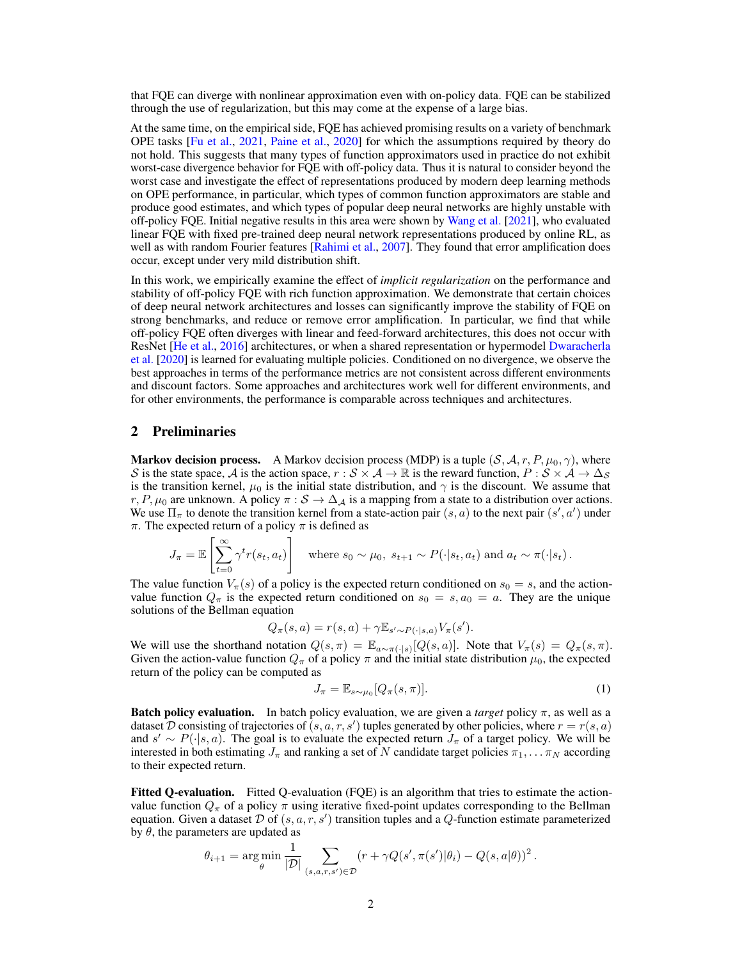that FQE can diverge with nonlinear approximation even with on-policy data. FQE can be stabilized through the use of regularization, but this may come at the expense of a large bias.

At the same time, on the empirical side, FQE has achieved promising results on a variety of benchmark OPE tasks [\[Fu et al.,](#page-7-1) [2021,](#page-7-1) [Paine et al.,](#page-8-2) [2020\]](#page-8-2) for which the assumptions required by theory do not hold. This suggests that many types of function approximators used in practice do not exhibit worst-case divergence behavior for FQE with off-policy data. Thus it is natural to consider beyond the worst case and investigate the effect of representations produced by modern deep learning methods on OPE performance, in particular, which types of common function approximators are stable and produce good estimates, and which types of popular deep neural networks are highly unstable with off-policy FQE. Initial negative results in this area were shown by [Wang et al.](#page-9-2) [\[2021\]](#page-9-2), who evaluated linear FQE with fixed pre-trained deep neural network representations produced by online RL, as well as with random Fourier features [\[Rahimi et al.,](#page-8-3) [2007\]](#page-8-3). They found that error amplification does occur, except under very mild distribution shift.

In this work, we empirically examine the effect of *implicit regularization* on the performance and stability of off-policy FQE with rich function approximation. We demonstrate that certain choices of deep neural network architectures and losses can significantly improve the stability of FQE on strong benchmarks, and reduce or remove error amplification. In particular, we find that while off-policy FQE often diverges with linear and feed-forward architectures, this does not occur with ResNet [\[He et al.,](#page-8-4) [2016\]](#page-8-4) architectures, or when a shared representation or hypermodel [Dwaracherla](#page-7-2) [et al.](#page-7-2) [\[2020\]](#page-7-2) is learned for evaluating multiple policies. Conditioned on no divergence, we observe the best approaches in terms of the performance metrics are not consistent across different environments and discount factors. Some approaches and architectures work well for different environments, and for other environments, the performance is comparable across techniques and architectures.

### 2 Preliminaries

**Markov decision process.** A Markov decision process (MDP) is a tuple  $(S, \mathcal{A}, r, P, \mu_0, \gamma)$ , where S is the state space, A is the action space,  $r : S \times A \to \mathbb{R}$  is the reward function,  $P : S \times A \to \Delta_S$ is the transition kernel,  $\mu_0$  is the initial state distribution, and  $\gamma$  is the discount. We assume that r, P,  $\mu_0$  are unknown. A policy  $\pi : S \to \Delta_A$  is a mapping from a state to a distribution over actions. We use  $\Pi_{\pi}$  to denote the transition kernel from a state-action pair  $(s, a)$  to the next pair  $(s', a')$  under  $\pi$ . The expected return of a policy  $\pi$  is defined as

$$
J_{\pi} = \mathbb{E}\left[\sum_{t=0}^{\infty} \gamma^{t} r(s_{t}, a_{t})\right] \quad \text{where } s_{0} \sim \mu_{0}, \ s_{t+1} \sim P(\cdot|s_{t}, a_{t}) \text{ and } a_{t} \sim \pi(\cdot|s_{t}).
$$

The value function  $V_\pi(s)$  of a policy is the expected return conditioned on  $s_0 = s$ , and the actionvalue function  $Q_{\pi}$  is the expected return conditioned on  $s_0 = s, a_0 = a$ . They are the unique solutions of the Bellman equation

$$
Q_{\pi}(s, a) = r(s, a) + \gamma \mathbb{E}_{s' \sim P(\cdot | s, a)} V_{\pi}(s').
$$

We will use the shorthand notation  $Q(s,\pi) = \mathbb{E}_{a \sim \pi(\cdot|s)}[Q(s,a)]$ . Note that  $V_{\pi}(s) = Q_{\pi}(s,\pi)$ . Given the action-value function  $Q_{\pi}$  of a policy  $\pi$  and the initial state distribution  $\mu_0$ , the expected return of the policy can be computed as

<span id="page-1-0"></span>
$$
J_{\pi} = \mathbb{E}_{s \sim \mu_0} [Q_{\pi}(s, \pi)]. \tag{1}
$$

.

**Batch policy evaluation.** In batch policy evaluation, we are given a *target* policy  $\pi$ , as well as a dataset D consisting of trajectories of  $(s, a, r, s')$  tuples generated by other policies, where  $r = r(s, a)$ and  $s' \sim P(\cdot|s, a)$ . The goal is to evaluate the expected return  $J_{\pi}$  of a target policy. We will be interested in both estimating  $J_{\pi}$  and ranking a set of N candidate target policies  $\pi_1, \dots \pi_N$  according to their expected return.

Fitted Q-evaluation. Fitted Q-evaluation (FQE) is an algorithm that tries to estimate the actionvalue function  $Q_{\pi}$  of a policy  $\pi$  using iterative fixed-point updates corresponding to the Bellman equation. Given a dataset  $\mathcal D$  of  $(s, a, r, s')$  transition tuples and a  $Q$ -function estimate parameterized by  $\theta$ , the parameters are updated as

$$
\theta_{i+1} = \underset{\theta}{\arg\min} \frac{1}{|\mathcal{D}|} \sum_{(s,a,r,s') \in \mathcal{D}} (r + \gamma Q(s', \pi(s') | \theta_i) - Q(s, a | \theta))^2
$$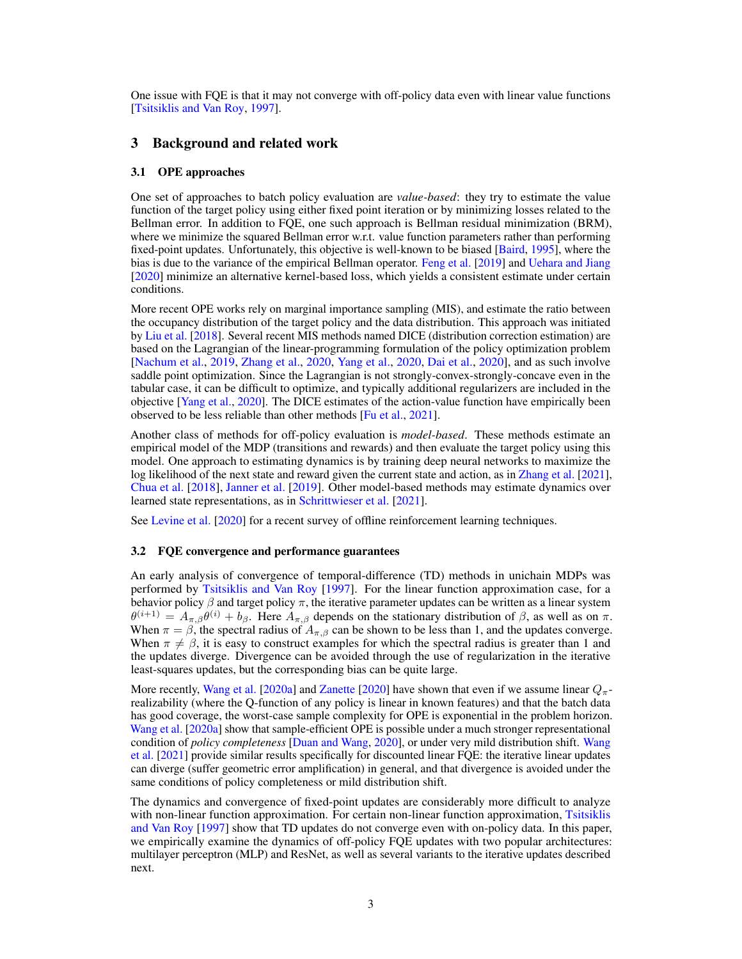One issue with FQE is that it may not converge with off-policy data even with linear value functions [\[Tsitsiklis and Van Roy,](#page-8-1) [1997\]](#page-8-1).

#### 3 Background and related work

#### 3.1 OPE approaches

One set of approaches to batch policy evaluation are *value-based*: they try to estimate the value function of the target policy using either fixed point iteration or by minimizing losses related to the Bellman error. In addition to FQE, one such approach is Bellman residual minimization (BRM), where we minimize the squared Bellman error w.r.t. value function parameters rather than performing fixed-point updates. Unfortunately, this objective is well-known to be biased [\[Baird,](#page-6-1) [1995\]](#page-6-1), where the bias is due to the variance of the empirical Bellman operator. [Feng et al.](#page-7-3) [\[2019\]](#page-7-3) and [Uehara and Jiang](#page-8-5) [\[2020\]](#page-8-5) minimize an alternative kernel-based loss, which yields a consistent estimate under certain conditions.

More recent OPE works rely on marginal importance sampling (MIS), and estimate the ratio between the occupancy distribution of the target policy and the data distribution. This approach was initiated by [Liu et al.](#page-8-6) [\[2018\]](#page-8-6). Several recent MIS methods named DICE (distribution correction estimation) are based on the Lagrangian of the linear-programming formulation of the policy optimization problem [\[Nachum et al.,](#page-8-7) [2019,](#page-8-7) [Zhang et al.,](#page-9-3) [2020,](#page-9-3) [Yang et al.,](#page-9-4) [2020,](#page-9-4) [Dai et al.,](#page-6-2) [2020\]](#page-6-2), and as such involve saddle point optimization. Since the Lagrangian is not strongly-convex-strongly-concave even in the tabular case, it can be difficult to optimize, and typically additional regularizers are included in the objective [\[Yang et al.,](#page-9-4) [2020\]](#page-9-4). The DICE estimates of the action-value function have empirically been observed to be less reliable than other methods [\[Fu et al.,](#page-7-1) [2021\]](#page-7-1).

Another class of methods for off-policy evaluation is *model-based*. These methods estimate an empirical model of the MDP (transitions and rewards) and then evaluate the target policy using this model. One approach to estimating dynamics is by training deep neural networks to maximize the log likelihood of the next state and reward given the current state and action, as in [Zhang et al.](#page-9-5) [\[2021\]](#page-9-5), [Chua et al.](#page-6-3) [\[2018\]](#page-6-3), [Janner et al.](#page-8-8) [\[2019\]](#page-8-8). Other model-based methods may estimate dynamics over learned state representations, as in [Schrittwieser et al.](#page-8-9) [\[2021\]](#page-8-9).

See [Levine et al.](#page-8-10) [\[2020\]](#page-8-10) for a recent survey of offline reinforcement learning techniques.

#### 3.2 FQE convergence and performance guarantees

An early analysis of convergence of temporal-difference (TD) methods in unichain MDPs was performed by [Tsitsiklis and Van Roy](#page-8-1) [\[1997\]](#page-8-1). For the linear function approximation case, for a behavior policy  $\beta$  and target policy  $\pi$ , the iterative parameter updates can be written as a linear system  $\theta^{(i+1)} = A_{\pi,\beta} \theta^{(i)} + b_{\beta}$ . Here  $A_{\pi,\beta}$  depends on the stationary distribution of  $\beta$ , as well as on  $\pi$ . When  $\pi = \beta$ , the spectral radius of  $A_{\pi,\beta}$  can be shown to be less than 1, and the updates converge. When  $\pi \neq \beta$ , it is easy to construct examples for which the spectral radius is greater than 1 and the updates diverge. Divergence can be avoided through the use of regularization in the iterative least-squares updates, but the corresponding bias can be quite large.

More recently, [Wang et al.](#page-9-0) [\[2020a\]](#page-9-0) and [Zanette](#page-9-1) [\[2020\]](#page-9-1) have shown that even if we assume linear  $Q_{\pi}$ realizability (where the Q-function of any policy is linear in known features) and that the batch data has good coverage, the worst-case sample complexity for OPE is exponential in the problem horizon. [Wang et al.](#page-9-0) [\[2020a\]](#page-9-0) show that sample-efficient OPE is possible under a much stronger representational condition of *policy completeness* [\[Duan and Wang,](#page-7-0) [2020\]](#page-7-0), or under very mild distribution shift. [Wang](#page-9-2) [et al.](#page-9-2) [\[2021\]](#page-9-2) provide similar results specifically for discounted linear FQE: the iterative linear updates can diverge (suffer geometric error amplification) in general, and that divergence is avoided under the same conditions of policy completeness or mild distribution shift.

The dynamics and convergence of fixed-point updates are considerably more difficult to analyze with non-linear function approximation. For certain non-linear function approximation. [Tsitsiklis](#page-8-1) [and Van Roy](#page-8-1) [\[1997\]](#page-8-1) show that TD updates do not converge even with on-policy data. In this paper, we empirically examine the dynamics of off-policy FQE updates with two popular architectures: multilayer perceptron (MLP) and ResNet, as well as several variants to the iterative updates described next.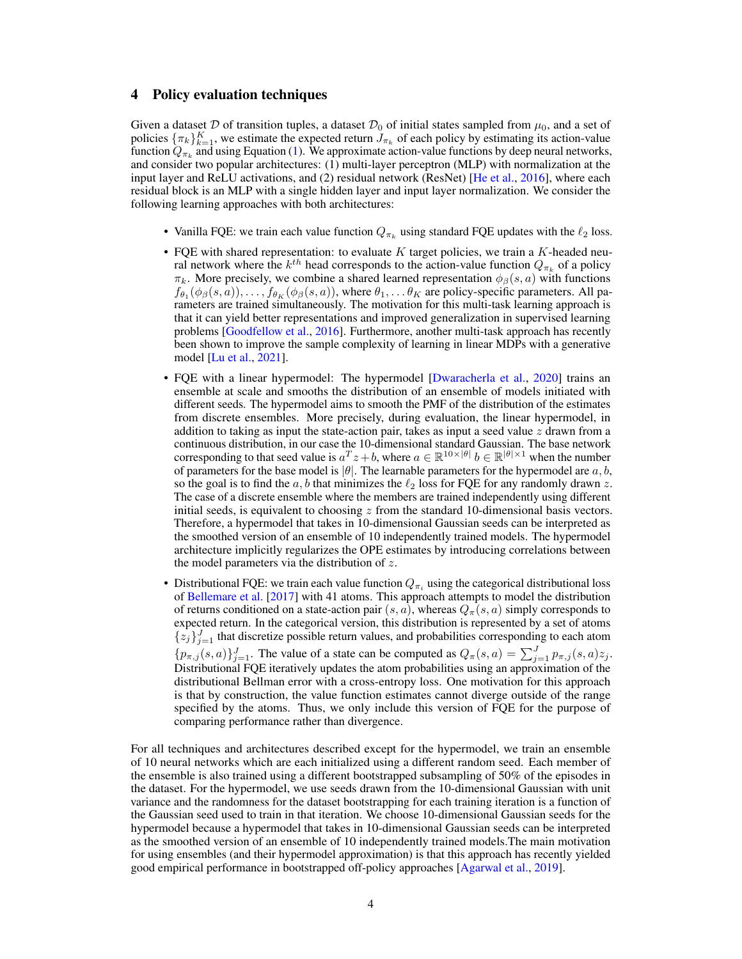#### 4 Policy evaluation techniques

Given a dataset D of transition tuples, a dataset  $\mathcal{D}_0$  of initial states sampled from  $\mu_0$ , and a set of policies  $\{\pi_k\}_{k=1}^K$ , we estimate the expected return  $J_{\pi_k}$  of each policy by estimating its action-value function  $Q_{\pi_k}$  and using Equation [\(1\)](#page-1-0). We approximate action-value functions by deep neural networks, and consider two popular architectures: (1) multi-layer perceptron (MLP) with normalization at the input layer and ReLU activations, and (2) residual network (ResNet) [\[He et al.,](#page-8-4) [2016\]](#page-8-4), where each residual block is an MLP with a single hidden layer and input layer normalization. We consider the following learning approaches with both architectures:

- Vanilla FQE: we train each value function  $Q_{\pi_k}$  using standard FQE updates with the  $\ell_2$  loss.
- FQE with shared representation: to evaluate  $K$  target policies, we train a  $K$ -headed neural network where the  $k^{th}$  head corresponds to the action-value function  $Q_{\pi_k}$  of a policy  $\pi_k$ . More precisely, we combine a shared learned representation  $\phi_\beta(s, a)$  with functions  $f_{\theta_1}(\phi_\beta(s,a)), \ldots, f_{\theta_K}(\phi_\beta(s,a)),$  where  $\theta_1, \ldots, \theta_K$  are policy-specific parameters. All parameters are trained simultaneously. The motivation for this multi-task learning approach is that it can yield better representations and improved generalization in supervised learning problems [\[Goodfellow et al.,](#page-8-11) [2016\]](#page-8-11). Furthermore, another multi-task approach has recently been shown to improve the sample complexity of learning in linear MDPs with a generative model [\[Lu et al.,](#page-8-12) [2021\]](#page-8-12).
- FQE with a linear hypermodel: The hypermodel [\[Dwaracherla et al.,](#page-7-2) [2020\]](#page-7-2) trains an ensemble at scale and smooths the distribution of an ensemble of models initiated with different seeds. The hypermodel aims to smooth the PMF of the distribution of the estimates from discrete ensembles. More precisely, during evaluation, the linear hypermodel, in addition to taking as input the state-action pair, takes as input a seed value  $z$  drawn from a continuous distribution, in our case the 10-dimensional standard Gaussian. The base network corresponding to that seed value is  $a^T z + b$ , where  $a \in \mathbb{R}^{10 \times |\theta|}$   $b \in \mathbb{R}^{|\theta| \times 1}$  when the number of parameters for the base model is  $|\theta|$ . The learnable parameters for the hypermodel are a, b, so the goal is to find the a, b that minimizes the  $\ell_2$  loss for FQE for any randomly drawn z. The case of a discrete ensemble where the members are trained independently using different initial seeds, is equivalent to choosing  $z$  from the standard 10-dimensional basis vectors. Therefore, a hypermodel that takes in 10-dimensional Gaussian seeds can be interpreted as the smoothed version of an ensemble of 10 independently trained models. The hypermodel architecture implicitly regularizes the OPE estimates by introducing correlations between the model parameters via the distribution of z.
- Distributional FQE: we train each value function  $Q_{\pi_i}$  using the categorical distributional loss of [Bellemare et al.](#page-6-4) [\[2017\]](#page-6-4) with 41 atoms. This approach attempts to model the distribution of returns conditioned on a state-action pair  $(s, a)$ , whereas  $Q_\pi(s, a)$  simply corresponds to expected return. In the categorical version, this distribution is represented by a set of atoms  $\{z_j\}_{j=1}^J$  that discretize possible return values, and probabilities corresponding to each atom  ${p_{\pi,j}(s,a)}_{j=1}^J$ . The value of a state can be computed as  $Q_\pi(s,a) = \sum_{j=1}^J p_{\pi,j}(s,a)z_j$ . Distributional FQE iteratively updates the atom probabilities using an approximation of the distributional Bellman error with a cross-entropy loss. One motivation for this approach is that by construction, the value function estimates cannot diverge outside of the range specified by the atoms. Thus, we only include this version of FQE for the purpose of comparing performance rather than divergence.

For all techniques and architectures described except for the hypermodel, we train an ensemble of 10 neural networks which are each initialized using a different random seed. Each member of the ensemble is also trained using a different bootstrapped subsampling of 50% of the episodes in the dataset. For the hypermodel, we use seeds drawn from the 10-dimensional Gaussian with unit variance and the randomness for the dataset bootstrapping for each training iteration is a function of the Gaussian seed used to train in that iteration. We choose 10-dimensional Gaussian seeds for the hypermodel because a hypermodel that takes in 10-dimensional Gaussian seeds can be interpreted as the smoothed version of an ensemble of 10 independently trained models.The main motivation for using ensembles (and their hypermodel approximation) is that this approach has recently yielded good empirical performance in bootstrapped off-policy approaches [\[Agarwal et al.,](#page-6-5) [2019\]](#page-6-5).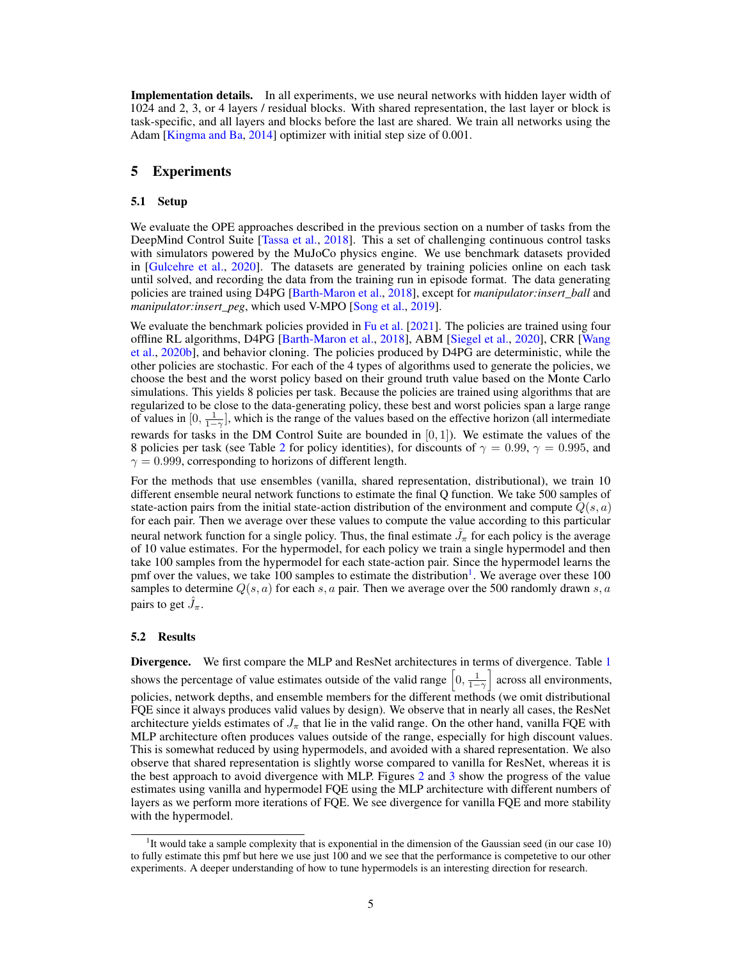**Implementation details.** In all experiments, we use neural networks with hidden layer width of 1024 and 2, 3, or 4 layers / residual blocks. With shared representation, the last layer or block is task-specific, and all layers and blocks before the last are shared. We train all networks using the Adam [\[Kingma and Ba,](#page-8-13) [2014\]](#page-8-13) optimizer with initial step size of 0.001.

#### 5 Experiments

#### 5.1 Setup

We evaluate the OPE approaches described in the previous section on a number of tasks from the DeepMind Control Suite [\[Tassa et al.,](#page-8-14) [2018\]](#page-8-14). This a set of challenging continuous control tasks with simulators powered by the MuJoCo physics engine. We use benchmark datasets provided in [\[Gulcehre et al.,](#page-8-15) [2020\]](#page-8-15). The datasets are generated by training policies online on each task until solved, and recording the data from the training run in episode format. The data generating policies are trained using D4PG [\[Barth-Maron et al.,](#page-6-6) [2018\]](#page-6-6), except for *manipulator:insert\_ball* and *manipulator:insert\_peg*, which used V-MPO [\[Song et al.,](#page-8-16) [2019\]](#page-8-16).

We evaluate the benchmark policies provided in  $Fu$  et al.  $[2021]$ . The policies are trained using four offline RL algorithms, D4PG [\[Barth-Maron et al.,](#page-6-6) [2018\]](#page-6-6), ABM [\[Siegel et al.,](#page-8-17) [2020\]](#page-8-17), CRR [\[Wang](#page-9-6) [et al.,](#page-9-6) [2020b\]](#page-9-6), and behavior cloning. The policies produced by D4PG are deterministic, while the other policies are stochastic. For each of the 4 types of algorithms used to generate the policies, we choose the best and the worst policy based on their ground truth value based on the Monte Carlo simulations. This yields 8 policies per task. Because the policies are trained using algorithms that are regularized to be close to the data-generating policy, these best and worst policies span a large range of values in  $[0, \frac{1}{1-\gamma}]$ , which is the range of the values based on the effective horizon (all intermediate rewards for tasks in the DM Control Suite are bounded in  $[0, 1]$ ). We estimate the values of the 8 policies per task (see Table [2](#page-10-0) for policy identities), for discounts of  $\gamma = 0.99$ ,  $\gamma = 0.995$ , and  $\gamma = 0.999$ , corresponding to horizons of different length.

For the methods that use ensembles (vanilla, shared representation, distributional), we train 10 different ensemble neural network functions to estimate the final Q function. We take 500 samples of state-action pairs from the initial state-action distribution of the environment and compute  $Q(s, a)$ for each pair. Then we average over these values to compute the value according to this particular neural network function for a single policy. Thus, the final estimate  $\hat{J}_{\pi}$  for each policy is the average of 10 value estimates. For the hypermodel, for each policy we train a single hypermodel and then take 100 samples from the hypermodel for each state-action pair. Since the hypermodel learns the pmf over the values, we take [1](#page-0-0)00 samples to estimate the distribution<sup>1</sup>. We average over these 100 samples to determine  $Q(s, a)$  for each s, a pair. Then we average over the 500 randomly drawn s, a pairs to get  $\hat{J}_{\pi}$ .

#### 5.2 Results

Divergence. We first compare the MLP and ResNet architectures in terms of divergence. Table [1](#page-5-0) shows the percentage of value estimates outside of the valid range  $\left[0, \frac{1}{1-\gamma}\right]$  across all environments, policies, network depths, and ensemble members for the different methods (we omit distributional FQE since it always produces valid values by design). We observe that in nearly all cases, the ResNet architecture yields estimates of  $J_{\pi}$  that lie in the valid range. On the other hand, vanilla FQE with MLP architecture often produces values outside of the range, especially for high discount values. This is somewhat reduced by using hypermodels, and avoided with a shared representation. We also observe that shared representation is slightly worse compared to vanilla for ResNet, whereas it is the best approach to avoid divergence with MLP. Figures [2](#page-5-1) and [3](#page-5-2) show the progress of the value estimates using vanilla and hypermodel FQE using the MLP architecture with different numbers of layers as we perform more iterations of FQE. We see divergence for vanilla FQE and more stability with the hypermodel.

<sup>&</sup>lt;sup>1</sup>It would take a sample complexity that is exponential in the dimension of the Gaussian seed (in our case 10) to fully estimate this pmf but here we use just 100 and we see that the performance is competetive to our other experiments. A deeper understanding of how to tune hypermodels is an interesting direction for research.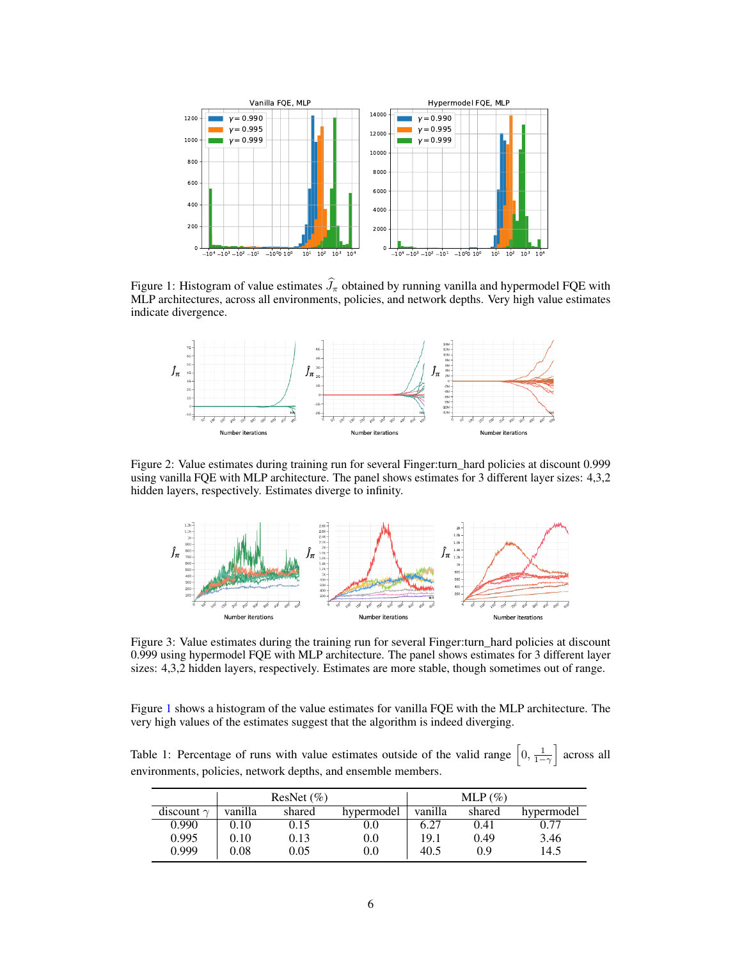

Figure 1: Histogram of value estimates  $\hat{J}_{\pi}$  obtained by running vanilla and hypermodel FQE with MLP architectures, across all environments, policies, and network depths. Very high value estimates indicate divergence.

<span id="page-5-3"></span>

Figure 2: Value estimates during training run for several Finger:turn\_hard policies at discount 0.999 using vanilla FQE with MLP architecture. The panel shows estimates for 3 different layer sizes: 4,3,2 hidden layers, respectively. Estimates diverge to infinity.

<span id="page-5-2"></span><span id="page-5-1"></span>

Figure 3: Value estimates during the training run for several Finger:turn\_hard policies at discount 0.999 using hypermodel FQE with MLP architecture. The panel shows estimates for 3 different layer sizes: 4,3,2 hidden layers, respectively. Estimates are more stable, though sometimes out of range.

Figure [1](#page-5-3) shows a histogram of the value estimates for vanilla FQE with the MLP architecture. The very high values of the estimates suggest that the algorithm is indeed diverging.

<span id="page-5-0"></span>Table 1: Percentage of runs with value estimates outside of the valid range  $\left[0, \frac{1}{1-\gamma}\right]$  across all environments, policies, network depths, and ensemble members.

|                   | ResNet $(\% )$ |        |            | MLP $(\%)$ |        |            |
|-------------------|----------------|--------|------------|------------|--------|------------|
| discount $\gamma$ | vanilla        | shared | hypermodel | vanilla    | shared | hypermodel |
| 0.990             | 0.10           | 0.15   | 0.0        | 6.27       | 0.41   | 0.77       |
| 0.995             | 0.10           | 0.13   | $0.0\,$    | 19.1       | 0.49   | 3.46       |
| 0.999             | $0.08\,$       | 0.05   | $0.0\,$    | 40.5       | 0.9    | 14.5       |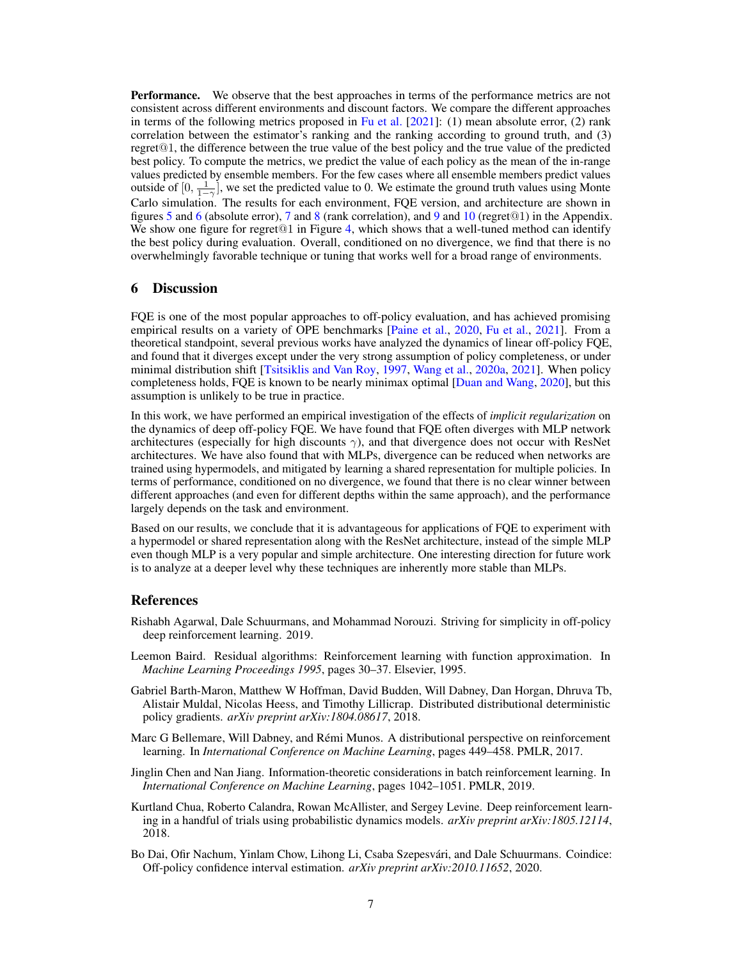**Performance.** We observe that the best approaches in terms of the performance metrics are not consistent across different environments and discount factors. We compare the different approaches in terms of the following metrics proposed in [Fu et al.](#page-7-1) [\[2021\]](#page-7-1): (1) mean absolute error, (2) rank correlation between the estimator's ranking and the ranking according to ground truth, and (3) regret@1, the difference between the true value of the best policy and the true value of the predicted best policy. To compute the metrics, we predict the value of each policy as the mean of the in-range values predicted by ensemble members. For the few cases where all ensemble members predict values outside of  $[0, \frac{1}{1-\gamma}]$ , we set the predicted value to 0. We estimate the ground truth values using Monte Carlo simulation. The results for each environment, FQE version, and architecture are shown in figures [5](#page-11-0) and [6](#page-12-0) (absolute error), [7](#page-13-0) and [8](#page-14-0) (rank correlation), and [9](#page-15-0) and [10](#page-16-0) (regret@1) in the Appendix. We show one figure for regret  $@1$  in Figure [4,](#page-7-4) which shows that a well-tuned method can identify the best policy during evaluation. Overall, conditioned on no divergence, we find that there is no overwhelmingly favorable technique or tuning that works well for a broad range of environments.

## 6 Discussion

FQE is one of the most popular approaches to off-policy evaluation, and has achieved promising empirical results on a variety of OPE benchmarks [\[Paine et al.,](#page-8-2) [2020,](#page-8-2) [Fu et al.,](#page-7-1) [2021\]](#page-7-1). From a theoretical standpoint, several previous works have analyzed the dynamics of linear off-policy FQE, and found that it diverges except under the very strong assumption of policy completeness, or under minimal distribution shift [\[Tsitsiklis and Van Roy,](#page-8-1) [1997,](#page-8-1) [Wang et al.,](#page-9-0) [2020a,](#page-9-0) [2021\]](#page-9-2). When policy completeness holds, FQE is known to be nearly minimax optimal [\[Duan and Wang,](#page-7-0) [2020\]](#page-7-0), but this assumption is unlikely to be true in practice.

In this work, we have performed an empirical investigation of the effects of *implicit regularization* on the dynamics of deep off-policy FQE. We have found that FQE often diverges with MLP network architectures (especially for high discounts  $\gamma$ ), and that divergence does not occur with ResNet architectures. We have also found that with MLPs, divergence can be reduced when networks are trained using hypermodels, and mitigated by learning a shared representation for multiple policies. In terms of performance, conditioned on no divergence, we found that there is no clear winner between different approaches (and even for different depths within the same approach), and the performance largely depends on the task and environment.

Based on our results, we conclude that it is advantageous for applications of FQE to experiment with a hypermodel or shared representation along with the ResNet architecture, instead of the simple MLP even though MLP is a very popular and simple architecture. One interesting direction for future work is to analyze at a deeper level why these techniques are inherently more stable than MLPs.

#### References

- <span id="page-6-5"></span>Rishabh Agarwal, Dale Schuurmans, and Mohammad Norouzi. Striving for simplicity in off-policy deep reinforcement learning. 2019.
- <span id="page-6-1"></span>Leemon Baird. Residual algorithms: Reinforcement learning with function approximation. In *Machine Learning Proceedings 1995*, pages 30–37. Elsevier, 1995.
- <span id="page-6-6"></span>Gabriel Barth-Maron, Matthew W Hoffman, David Budden, Will Dabney, Dan Horgan, Dhruva Tb, Alistair Muldal, Nicolas Heess, and Timothy Lillicrap. Distributed distributional deterministic policy gradients. *arXiv preprint arXiv:1804.08617*, 2018.
- <span id="page-6-4"></span>Marc G Bellemare, Will Dabney, and Rémi Munos. A distributional perspective on reinforcement learning. In *International Conference on Machine Learning*, pages 449–458. PMLR, 2017.
- <span id="page-6-0"></span>Jinglin Chen and Nan Jiang. Information-theoretic considerations in batch reinforcement learning. In *International Conference on Machine Learning*, pages 1042–1051. PMLR, 2019.
- <span id="page-6-3"></span>Kurtland Chua, Roberto Calandra, Rowan McAllister, and Sergey Levine. Deep reinforcement learning in a handful of trials using probabilistic dynamics models. *arXiv preprint arXiv:1805.12114*, 2018.
- <span id="page-6-2"></span>Bo Dai, Ofir Nachum, Yinlam Chow, Lihong Li, Csaba Szepesvári, and Dale Schuurmans. Coindice: Off-policy confidence interval estimation. *arXiv preprint arXiv:2010.11652*, 2020.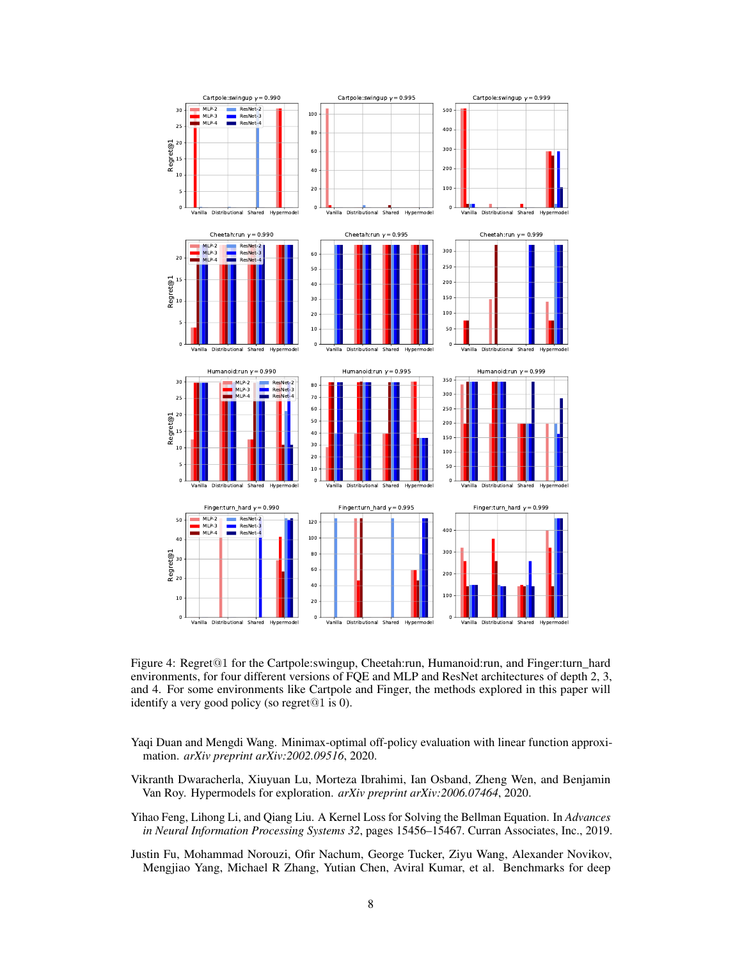

<span id="page-7-4"></span>Figure 4: Regret@1 for the Cartpole:swingup, Cheetah:run, Humanoid:run, and Finger:turn\_hard environments, for four different versions of FQE and MLP and ResNet architectures of depth 2, 3, and 4. For some environments like Cartpole and Finger, the methods explored in this paper will identify a very good policy (so regret@1 is 0).

- <span id="page-7-0"></span>Yaqi Duan and Mengdi Wang. Minimax-optimal off-policy evaluation with linear function approximation. *arXiv preprint arXiv:2002.09516*, 2020.
- <span id="page-7-2"></span>Vikranth Dwaracherla, Xiuyuan Lu, Morteza Ibrahimi, Ian Osband, Zheng Wen, and Benjamin Van Roy. Hypermodels for exploration. *arXiv preprint arXiv:2006.07464*, 2020.
- <span id="page-7-3"></span>Yihao Feng, Lihong Li, and Qiang Liu. A Kernel Loss for Solving the Bellman Equation. In *Advances in Neural Information Processing Systems 32*, pages 15456–15467. Curran Associates, Inc., 2019.
- <span id="page-7-1"></span>Justin Fu, Mohammad Norouzi, Ofir Nachum, George Tucker, Ziyu Wang, Alexander Novikov, Mengjiao Yang, Michael R Zhang, Yutian Chen, Aviral Kumar, et al. Benchmarks for deep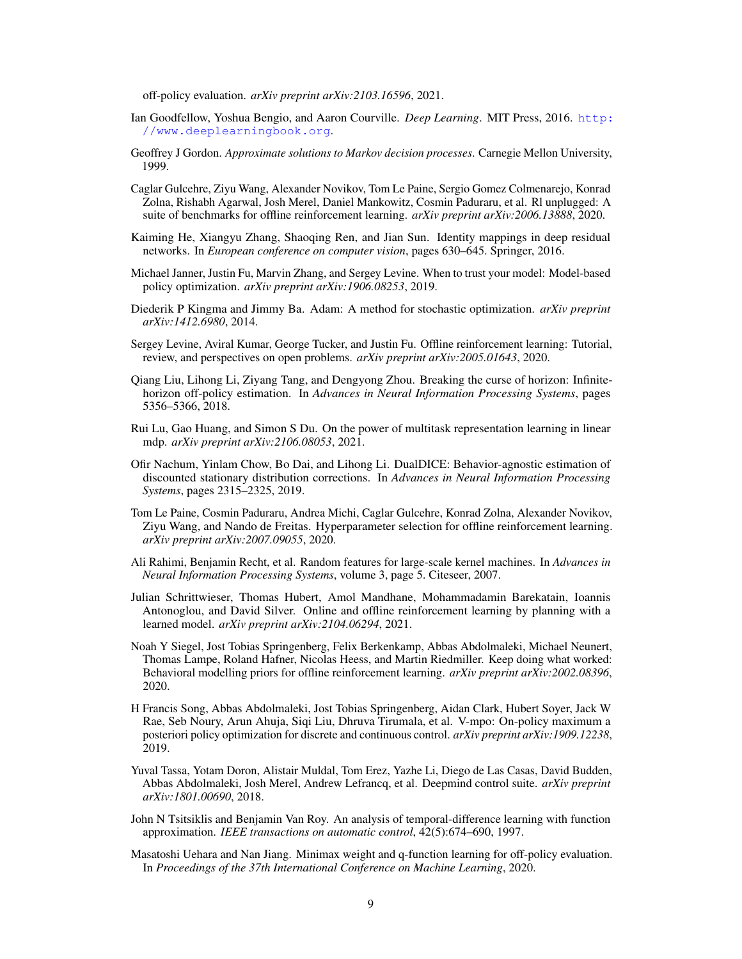off-policy evaluation. *arXiv preprint arXiv:2103.16596*, 2021.

- <span id="page-8-11"></span>Ian Goodfellow, Yoshua Bengio, and Aaron Courville. *Deep Learning*. MIT Press, 2016. [http:](http://www.deeplearningbook.org) [//www.deeplearningbook.org](http://www.deeplearningbook.org).
- <span id="page-8-0"></span>Geoffrey J Gordon. *Approximate solutions to Markov decision processes*. Carnegie Mellon University, 1999.
- <span id="page-8-15"></span>Caglar Gulcehre, Ziyu Wang, Alexander Novikov, Tom Le Paine, Sergio Gomez Colmenarejo, Konrad Zolna, Rishabh Agarwal, Josh Merel, Daniel Mankowitz, Cosmin Paduraru, et al. Rl unplugged: A suite of benchmarks for offline reinforcement learning. *arXiv preprint arXiv:2006.13888*, 2020.
- <span id="page-8-4"></span>Kaiming He, Xiangyu Zhang, Shaoqing Ren, and Jian Sun. Identity mappings in deep residual networks. In *European conference on computer vision*, pages 630–645. Springer, 2016.
- <span id="page-8-8"></span>Michael Janner, Justin Fu, Marvin Zhang, and Sergey Levine. When to trust your model: Model-based policy optimization. *arXiv preprint arXiv:1906.08253*, 2019.
- <span id="page-8-13"></span>Diederik P Kingma and Jimmy Ba. Adam: A method for stochastic optimization. *arXiv preprint arXiv:1412.6980*, 2014.
- <span id="page-8-10"></span>Sergey Levine, Aviral Kumar, George Tucker, and Justin Fu. Offline reinforcement learning: Tutorial, review, and perspectives on open problems. *arXiv preprint arXiv:2005.01643*, 2020.
- <span id="page-8-6"></span>Qiang Liu, Lihong Li, Ziyang Tang, and Dengyong Zhou. Breaking the curse of horizon: Infinitehorizon off-policy estimation. In *Advances in Neural Information Processing Systems*, pages 5356–5366, 2018.
- <span id="page-8-12"></span>Rui Lu, Gao Huang, and Simon S Du. On the power of multitask representation learning in linear mdp. *arXiv preprint arXiv:2106.08053*, 2021.
- <span id="page-8-7"></span>Ofir Nachum, Yinlam Chow, Bo Dai, and Lihong Li. DualDICE: Behavior-agnostic estimation of discounted stationary distribution corrections. In *Advances in Neural Information Processing Systems*, pages 2315–2325, 2019.
- <span id="page-8-2"></span>Tom Le Paine, Cosmin Paduraru, Andrea Michi, Caglar Gulcehre, Konrad Zolna, Alexander Novikov, Ziyu Wang, and Nando de Freitas. Hyperparameter selection for offline reinforcement learning. *arXiv preprint arXiv:2007.09055*, 2020.
- <span id="page-8-3"></span>Ali Rahimi, Benjamin Recht, et al. Random features for large-scale kernel machines. In *Advances in Neural Information Processing Systems*, volume 3, page 5. Citeseer, 2007.
- <span id="page-8-9"></span>Julian Schrittwieser, Thomas Hubert, Amol Mandhane, Mohammadamin Barekatain, Ioannis Antonoglou, and David Silver. Online and offline reinforcement learning by planning with a learned model. *arXiv preprint arXiv:2104.06294*, 2021.
- <span id="page-8-17"></span>Noah Y Siegel, Jost Tobias Springenberg, Felix Berkenkamp, Abbas Abdolmaleki, Michael Neunert, Thomas Lampe, Roland Hafner, Nicolas Heess, and Martin Riedmiller. Keep doing what worked: Behavioral modelling priors for offline reinforcement learning. *arXiv preprint arXiv:2002.08396*, 2020.
- <span id="page-8-16"></span>H Francis Song, Abbas Abdolmaleki, Jost Tobias Springenberg, Aidan Clark, Hubert Soyer, Jack W Rae, Seb Noury, Arun Ahuja, Siqi Liu, Dhruva Tirumala, et al. V-mpo: On-policy maximum a posteriori policy optimization for discrete and continuous control. *arXiv preprint arXiv:1909.12238*, 2019.
- <span id="page-8-14"></span>Yuval Tassa, Yotam Doron, Alistair Muldal, Tom Erez, Yazhe Li, Diego de Las Casas, David Budden, Abbas Abdolmaleki, Josh Merel, Andrew Lefrancq, et al. Deepmind control suite. *arXiv preprint arXiv:1801.00690*, 2018.
- <span id="page-8-1"></span>John N Tsitsiklis and Benjamin Van Roy. An analysis of temporal-difference learning with function approximation. *IEEE transactions on automatic control*, 42(5):674–690, 1997.
- <span id="page-8-5"></span>Masatoshi Uehara and Nan Jiang. Minimax weight and q-function learning for off-policy evaluation. In *Proceedings of the 37th International Conference on Machine Learning*, 2020.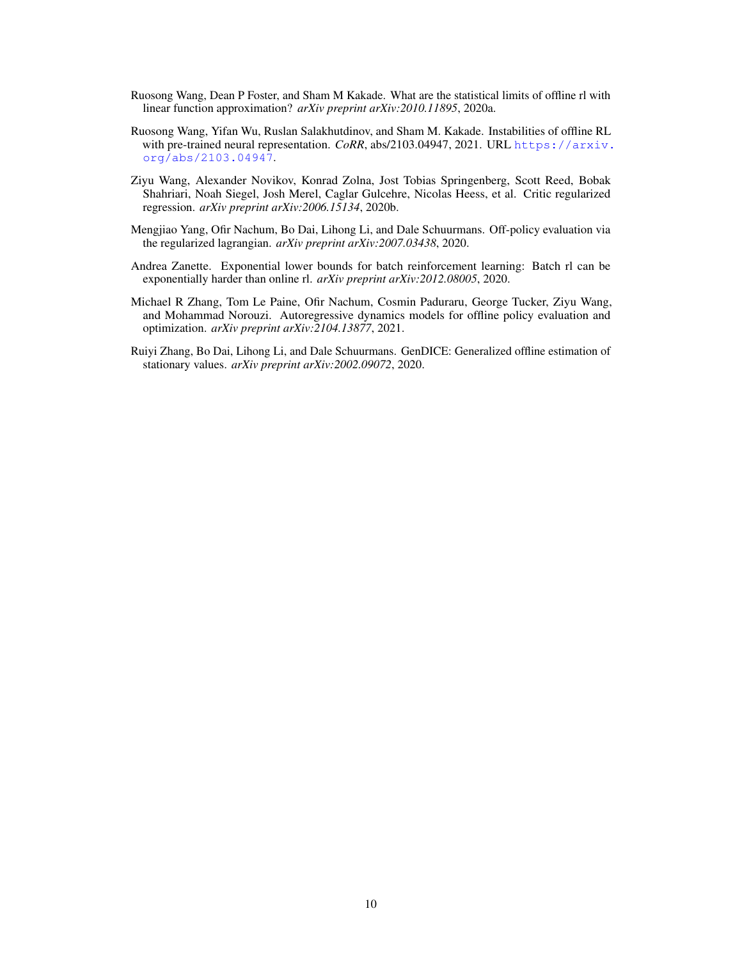- <span id="page-9-0"></span>Ruosong Wang, Dean P Foster, and Sham M Kakade. What are the statistical limits of offline rl with linear function approximation? *arXiv preprint arXiv:2010.11895*, 2020a.
- <span id="page-9-2"></span>Ruosong Wang, Yifan Wu, Ruslan Salakhutdinov, and Sham M. Kakade. Instabilities of offline RL with pre-trained neural representation. *CoRR*, abs/2103.04947, 2021. URL [https://arxiv.](https://arxiv.org/abs/2103.04947) [org/abs/2103.04947](https://arxiv.org/abs/2103.04947).
- <span id="page-9-6"></span>Ziyu Wang, Alexander Novikov, Konrad Zolna, Jost Tobias Springenberg, Scott Reed, Bobak Shahriari, Noah Siegel, Josh Merel, Caglar Gulcehre, Nicolas Heess, et al. Critic regularized regression. *arXiv preprint arXiv:2006.15134*, 2020b.
- <span id="page-9-4"></span>Mengjiao Yang, Ofir Nachum, Bo Dai, Lihong Li, and Dale Schuurmans. Off-policy evaluation via the regularized lagrangian. *arXiv preprint arXiv:2007.03438*, 2020.
- <span id="page-9-1"></span>Andrea Zanette. Exponential lower bounds for batch reinforcement learning: Batch rl can be exponentially harder than online rl. *arXiv preprint arXiv:2012.08005*, 2020.
- <span id="page-9-5"></span>Michael R Zhang, Tom Le Paine, Ofir Nachum, Cosmin Paduraru, George Tucker, Ziyu Wang, and Mohammad Norouzi. Autoregressive dynamics models for offline policy evaluation and optimization. *arXiv preprint arXiv:2104.13877*, 2021.
- <span id="page-9-3"></span>Ruiyi Zhang, Bo Dai, Lihong Li, and Dale Schuurmans. GenDICE: Generalized offline estimation of stationary values. *arXiv preprint arXiv:2002.09072*, 2020.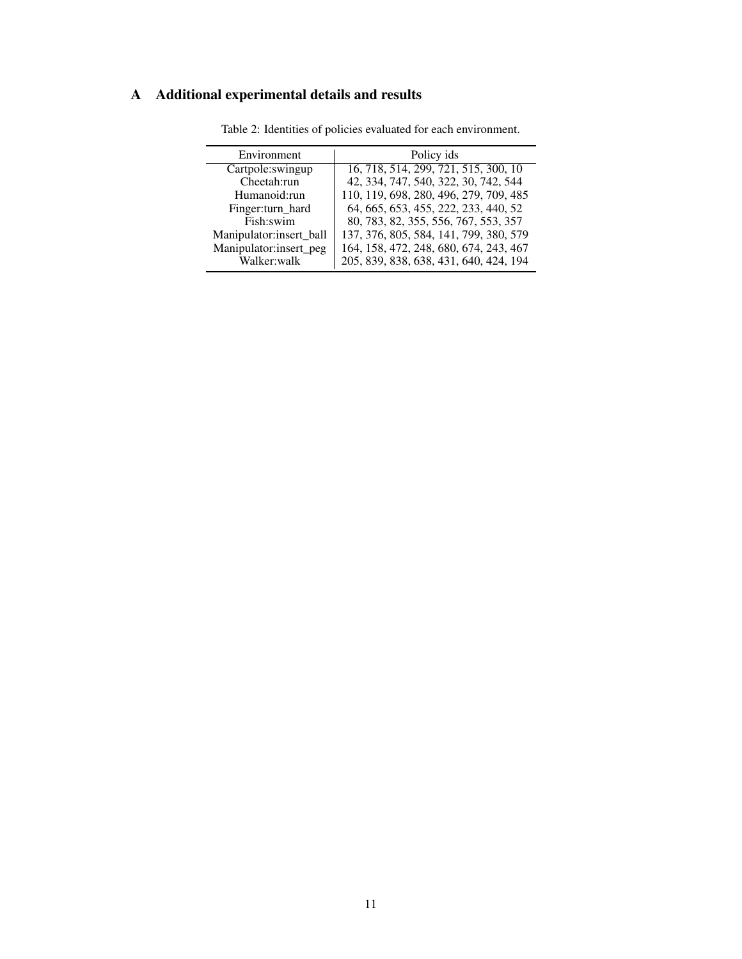## <span id="page-10-0"></span>A Additional experimental details and results

| Environment             | Policy ids                             |  |  |
|-------------------------|----------------------------------------|--|--|
| Cartpole:swingup        | 16, 718, 514, 299, 721, 515, 300, 10   |  |  |
| Cheetah:run             | 42, 334, 747, 540, 322, 30, 742, 544   |  |  |
| Humanoid:run            | 110, 119, 698, 280, 496, 279, 709, 485 |  |  |
| Finger:turn_hard        | 64, 665, 653, 455, 222, 233, 440, 52   |  |  |
| Fish:swim               | 80, 783, 82, 355, 556, 767, 553, 357   |  |  |
| Manipulator:insert ball | 137, 376, 805, 584, 141, 799, 380, 579 |  |  |
| Manipulator:insert_peg  | 164, 158, 472, 248, 680, 674, 243, 467 |  |  |
| Walker:walk             | 205, 839, 838, 638, 431, 640, 424, 194 |  |  |
|                         |                                        |  |  |

Table 2: Identities of policies evaluated for each environment.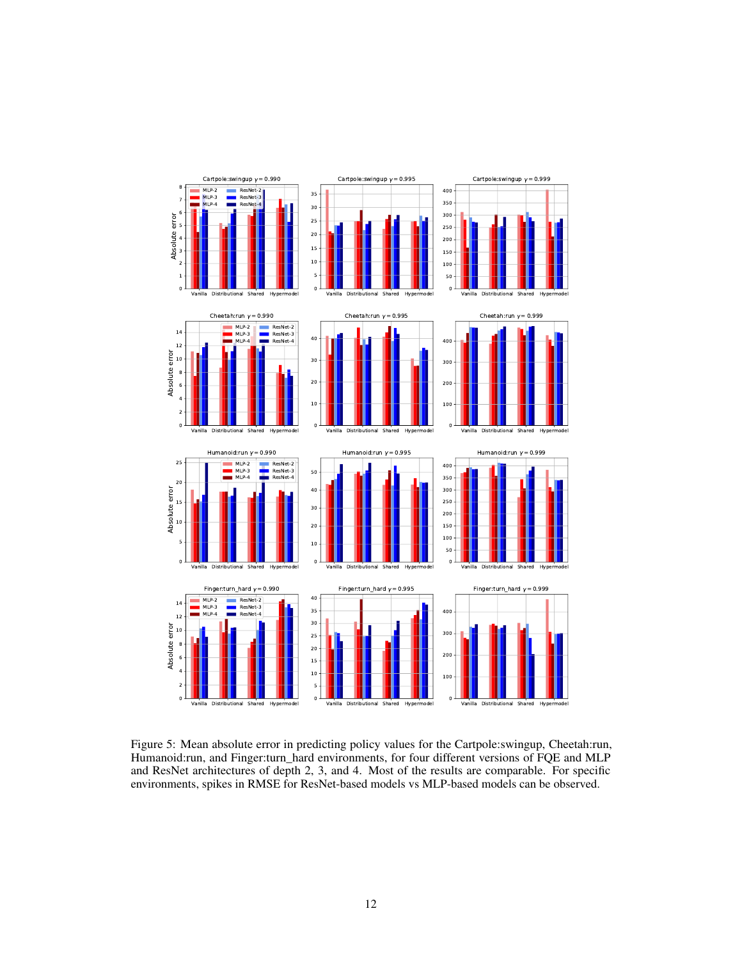

<span id="page-11-0"></span>Figure 5: Mean absolute error in predicting policy values for the Cartpole:swingup, Cheetah:run, Humanoid:run, and Finger:turn\_hard environments, for four different versions of FQE and MLP and ResNet architectures of depth 2, 3, and 4. Most of the results are comparable. For specific environments, spikes in RMSE for ResNet-based models vs MLP-based models can be observed.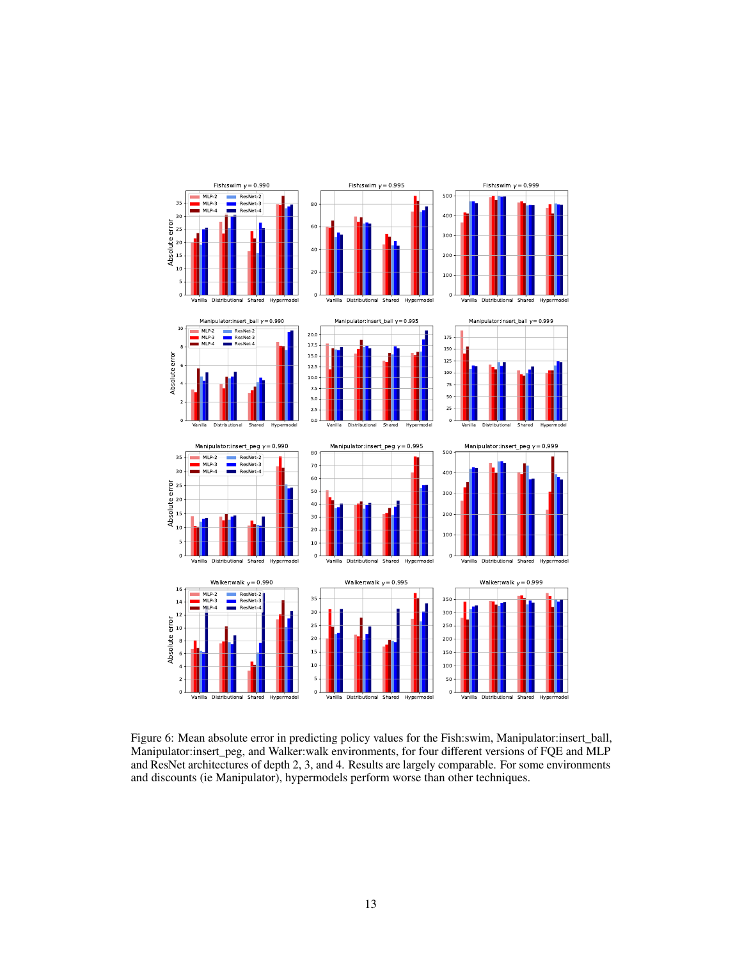

<span id="page-12-0"></span>Figure 6: Mean absolute error in predicting policy values for the Fish:swim, Manipulator:insert\_ball, Manipulator:insert\_peg, and Walker:walk environments, for four different versions of FQE and MLP and ResNet architectures of depth 2, 3, and 4. Results are largely comparable. For some environments and discounts (ie Manipulator), hypermodels perform worse than other techniques.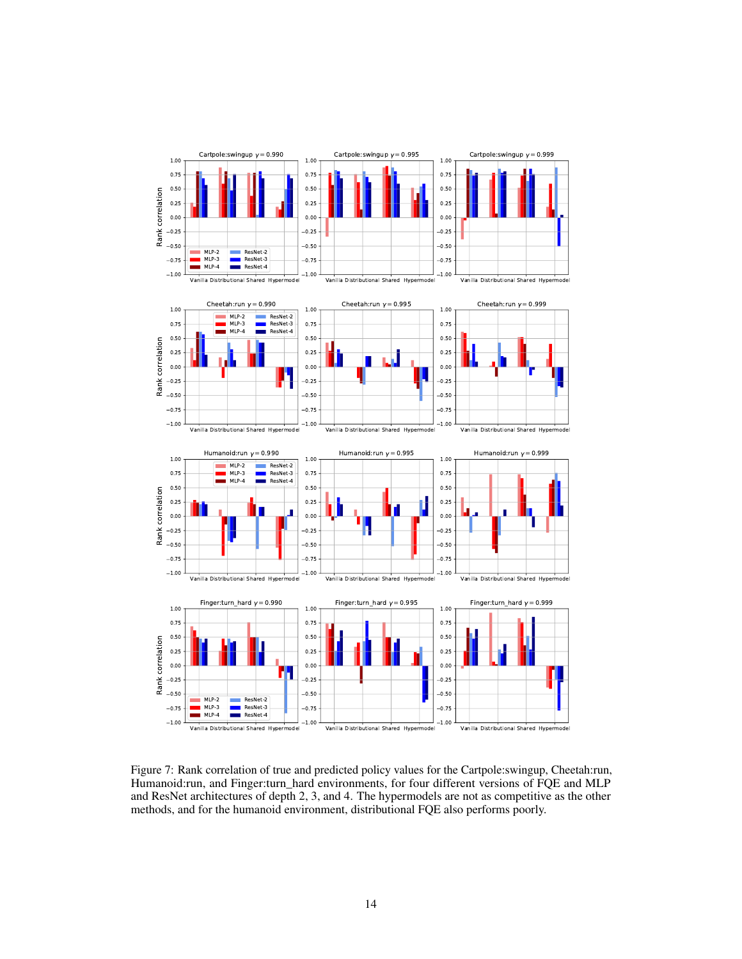

<span id="page-13-0"></span>Figure 7: Rank correlation of true and predicted policy values for the Cartpole:swingup, Cheetah:run, Humanoid:run, and Finger:turn\_hard environments, for four different versions of FQE and MLP and ResNet architectures of depth 2, 3, and 4. The hypermodels are not as competitive as the other methods, and for the humanoid environment, distributional FQE also performs poorly.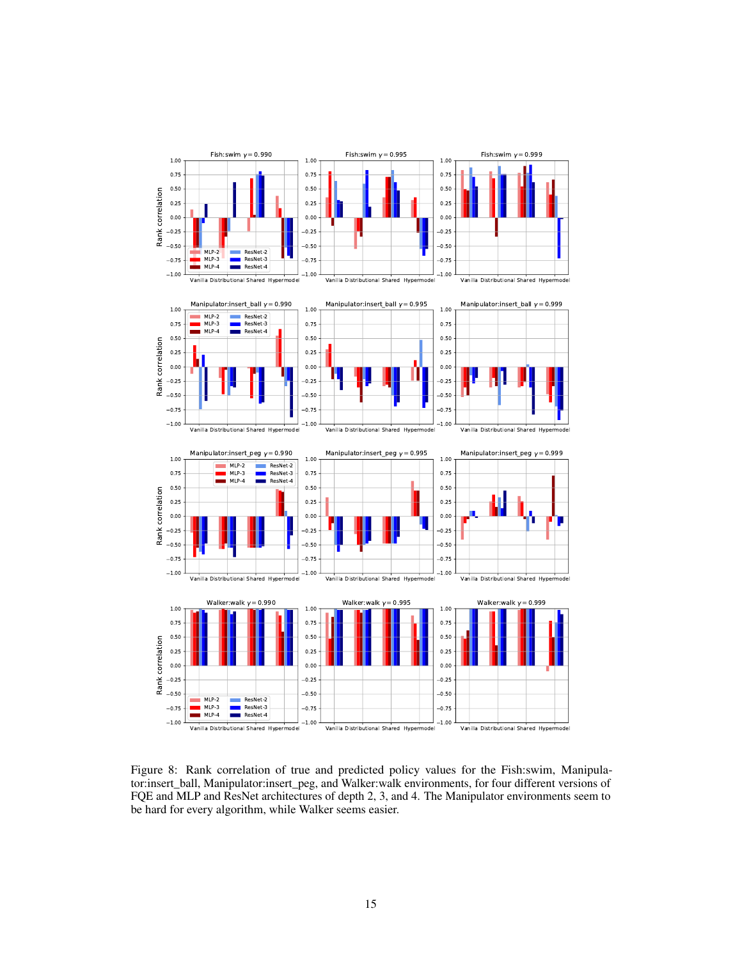

<span id="page-14-0"></span>Figure 8: Rank correlation of true and predicted policy values for the Fish:swim, Manipulator:insert\_ball, Manipulator:insert\_peg, and Walker:walk environments, for four different versions of FQE and MLP and ResNet architectures of depth 2, 3, and 4. The Manipulator environments seem to be hard for every algorithm, while Walker seems easier.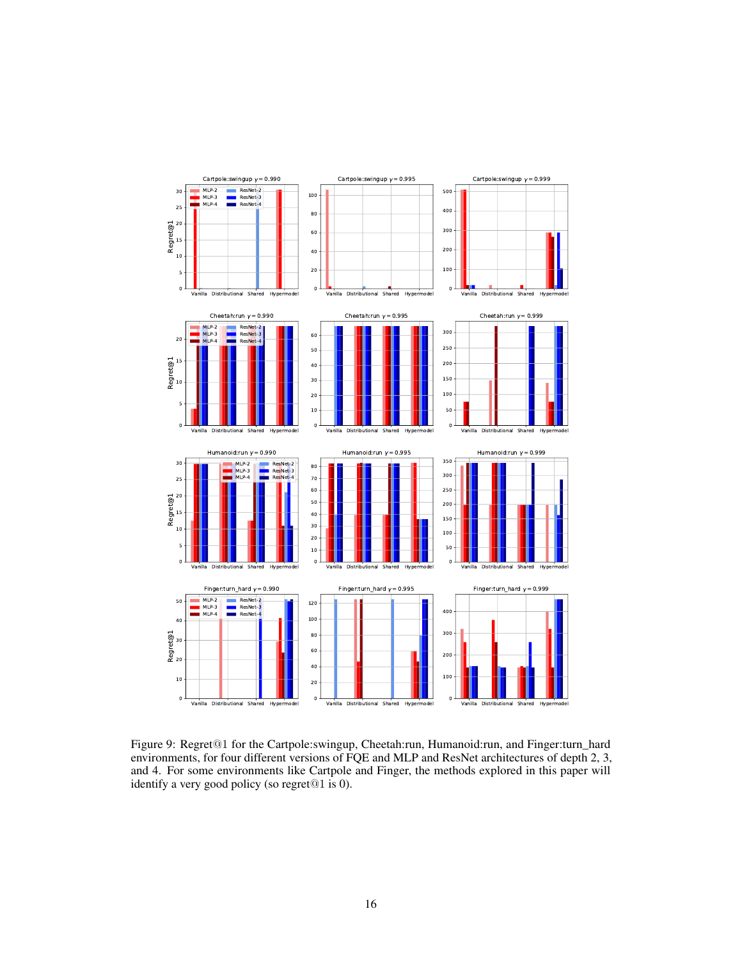

<span id="page-15-0"></span>Figure 9: Regret@1 for the Cartpole:swingup, Cheetah:run, Humanoid:run, and Finger:turn\_hard environments, for four different versions of FQE and MLP and ResNet architectures of depth 2, 3, and 4. For some environments like Cartpole and Finger, the methods explored in this paper will identify a very good policy (so regret@1 is 0).